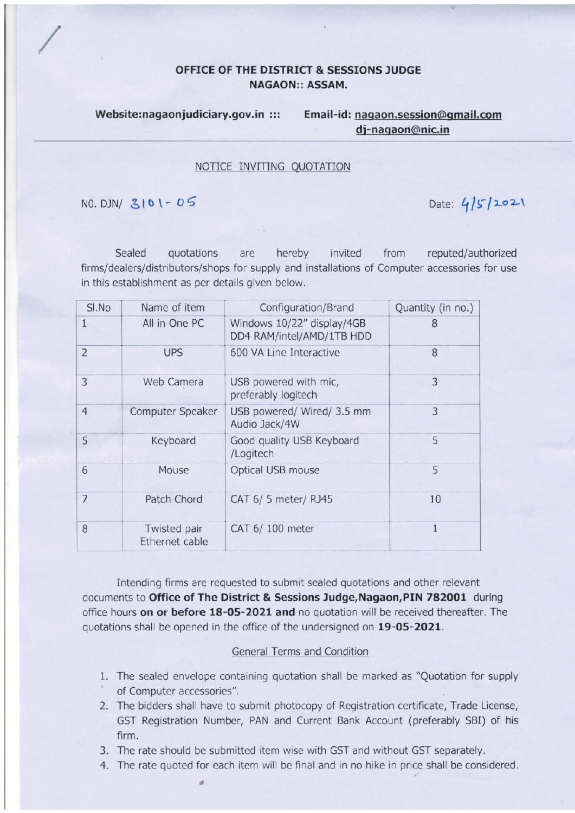## OFFICE OF THE DISTRICT & SESSIONS ]UDGE NAGAON:: ASSAM.

Website:nagaonjudiciary.gov.in ::: Email-id: nagaon.session@qmail.com di-naoaon@nic.in

## NOTICE INVITING QUOTATION

NO. DJN/  $3101 - 05$  Date:  $4/5/2021$ 

Sealed quotations are hereby invited from reputed/authorized firms/dealers/distributors/shops for supply and installations of Computer accessories for use in this establishment as per details given below,

| SI.No          | Name of item                   | Configuration/Brand                                     | Quantity (in no.) |
|----------------|--------------------------------|---------------------------------------------------------|-------------------|
| 1              | All in One PC                  | Windows 10/22" display/4GB<br>DD4 RAM/intel/AMD/1TB HDD | 8                 |
| $\overline{2}$ | <b>UPS</b>                     | 600 VA Line Interactive                                 | 8                 |
| $\overline{3}$ | Web Camera                     | USB powered with mic,<br>preferably logitech            | 3                 |
| $\overline{4}$ | Computer Speaker               | USB powered/ Wired/ 3.5 mm<br>Audio Jack/4W             | 3                 |
| 5              | Keyboard                       | Good quality USB Keyboard<br>/Logitech                  | 5                 |
| 6              | Mouse                          | Optical USB mouse                                       | 5                 |
| $\overline{7}$ | Patch Chord                    | CAT 6/ 5 meter/ RJ45                                    | 10                |
| 8              | Twisted pair<br>Ethernet cable | CAT 6/100 meter                                         | $\mathbf{1}$      |

Intending firms are requested to submit scaled quotations and other relevant documents to Office of The District & Sessions Judge, Nagaon, PIN 782001 during office hours on or before 18-05-2021 and no quotation will be received thereafter. The quotations shall be opened in the office of the undersigned on 19-05-2021.

## General Terms and Condition

- 1. The sealed envelope containing quotation shall be marked as "Quotation for supply of Computer accessories".
- 2. The bidders shall have to submit photocopy of Registration certificate, Trade License, GST Registration Number, PAN and Current Bank Account (preferably SBI) of his firm.
- 3, The rate should be submitted item wise with GST and without GST separately.
- 4. The rate quoted for each item will be final and in no hike in price shall be considered.